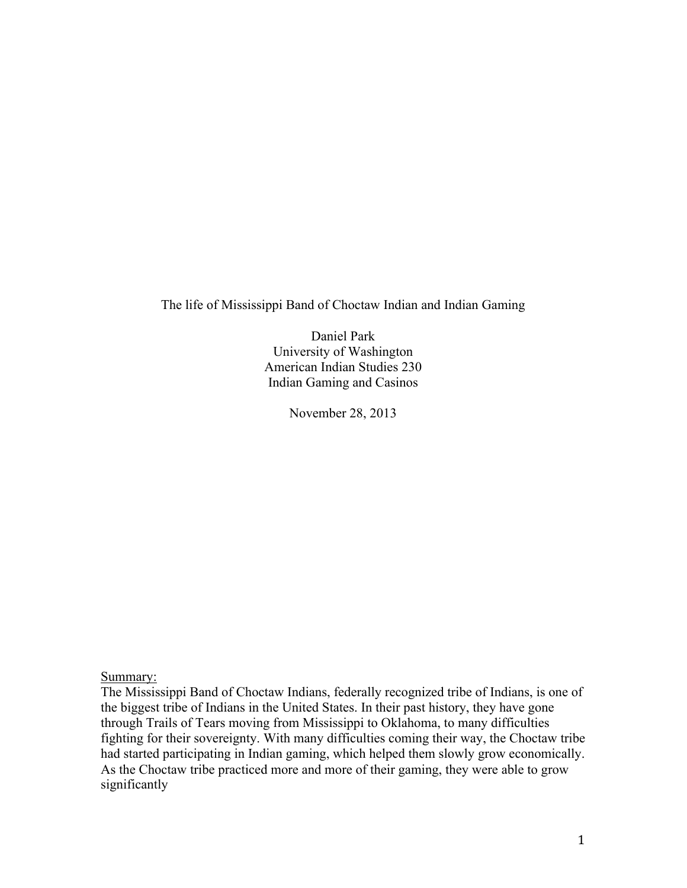The life of Mississippi Band of Choctaw Indian and Indian Gaming

Daniel Park University of Washington American Indian Studies 230 Indian Gaming and Casinos

November 28, 2013

Summary:

The Mississippi Band of Choctaw Indians, federally recognized tribe of Indians, is one of the biggest tribe of Indians in the United States. In their past history, they have gone through Trails of Tears moving from Mississippi to Oklahoma, to many difficulties fighting for their sovereignty. With many difficulties coming their way, the Choctaw tribe had started participating in Indian gaming, which helped them slowly grow economically. As the Choctaw tribe practiced more and more of their gaming, they were able to grow significantly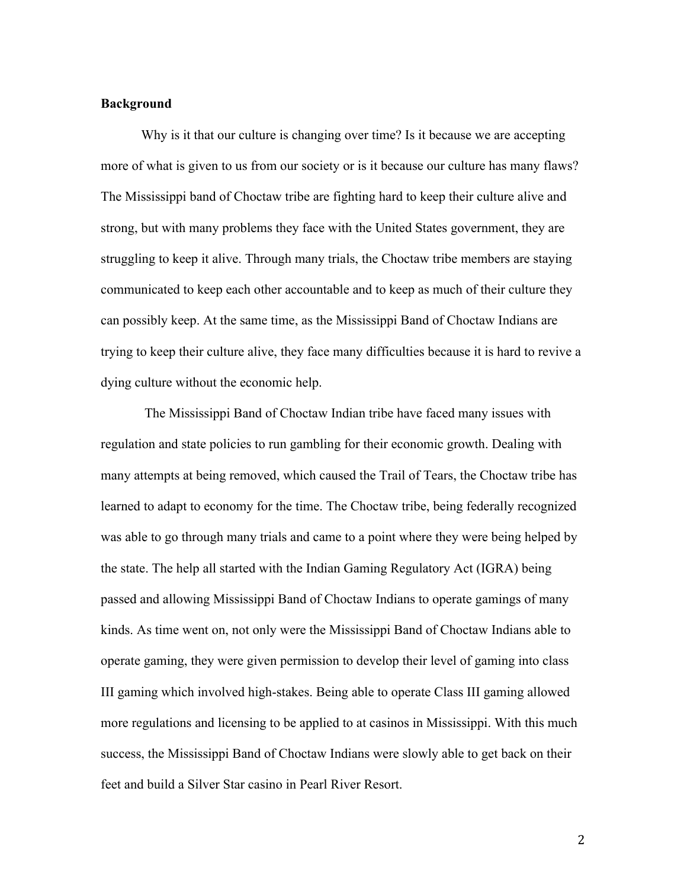## **Background**

Why is it that our culture is changing over time? Is it because we are accepting more of what is given to us from our society or is it because our culture has many flaws? The Mississippi band of Choctaw tribe are fighting hard to keep their culture alive and strong, but with many problems they face with the United States government, they are struggling to keep it alive. Through many trials, the Choctaw tribe members are staying communicated to keep each other accountable and to keep as much of their culture they can possibly keep. At the same time, as the Mississippi Band of Choctaw Indians are trying to keep their culture alive, they face many difficulties because it is hard to revive a dying culture without the economic help.

The Mississippi Band of Choctaw Indian tribe have faced many issues with regulation and state policies to run gambling for their economic growth. Dealing with many attempts at being removed, which caused the Trail of Tears, the Choctaw tribe has learned to adapt to economy for the time. The Choctaw tribe, being federally recognized was able to go through many trials and came to a point where they were being helped by the state. The help all started with the Indian Gaming Regulatory Act (IGRA) being passed and allowing Mississippi Band of Choctaw Indians to operate gamings of many kinds. As time went on, not only were the Mississippi Band of Choctaw Indians able to operate gaming, they were given permission to develop their level of gaming into class III gaming which involved high-stakes. Being able to operate Class III gaming allowed more regulations and licensing to be applied to at casinos in Mississippi. With this much success, the Mississippi Band of Choctaw Indians were slowly able to get back on their feet and build a Silver Star casino in Pearl River Resort.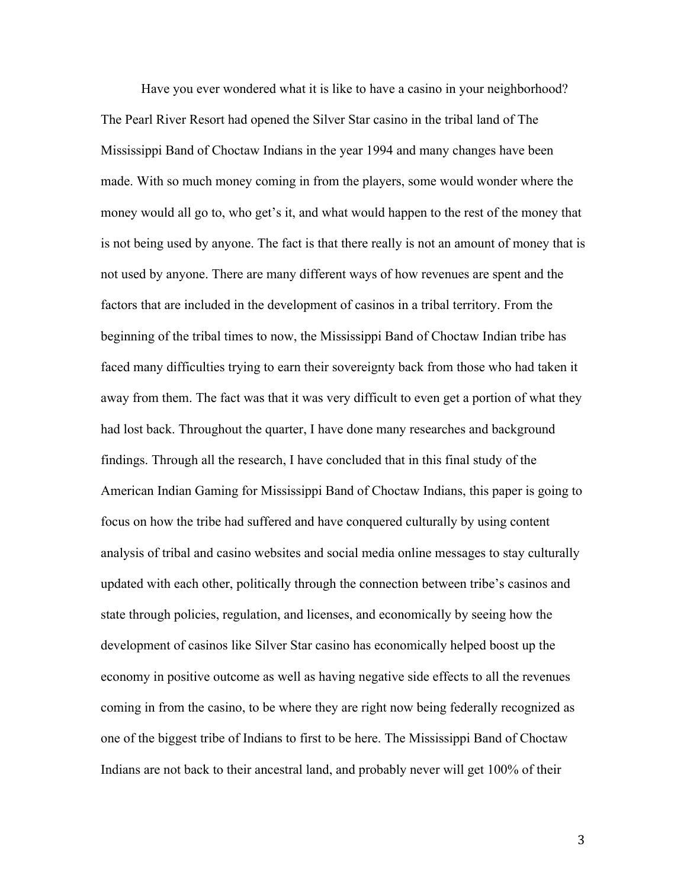Have you ever wondered what it is like to have a casino in your neighborhood? The Pearl River Resort had opened the Silver Star casino in the tribal land of The Mississippi Band of Choctaw Indians in the year 1994 and many changes have been made. With so much money coming in from the players, some would wonder where the money would all go to, who get's it, and what would happen to the rest of the money that is not being used by anyone. The fact is that there really is not an amount of money that is not used by anyone. There are many different ways of how revenues are spent and the factors that are included in the development of casinos in a tribal territory. From the beginning of the tribal times to now, the Mississippi Band of Choctaw Indian tribe has faced many difficulties trying to earn their sovereignty back from those who had taken it away from them. The fact was that it was very difficult to even get a portion of what they had lost back. Throughout the quarter, I have done many researches and background findings. Through all the research, I have concluded that in this final study of the American Indian Gaming for Mississippi Band of Choctaw Indians, this paper is going to focus on how the tribe had suffered and have conquered culturally by using content analysis of tribal and casino websites and social media online messages to stay culturally updated with each other, politically through the connection between tribe's casinos and state through policies, regulation, and licenses, and economically by seeing how the development of casinos like Silver Star casino has economically helped boost up the economy in positive outcome as well as having negative side effects to all the revenues coming in from the casino, to be where they are right now being federally recognized as one of the biggest tribe of Indians to first to be here. The Mississippi Band of Choctaw Indians are not back to their ancestral land, and probably never will get 100% of their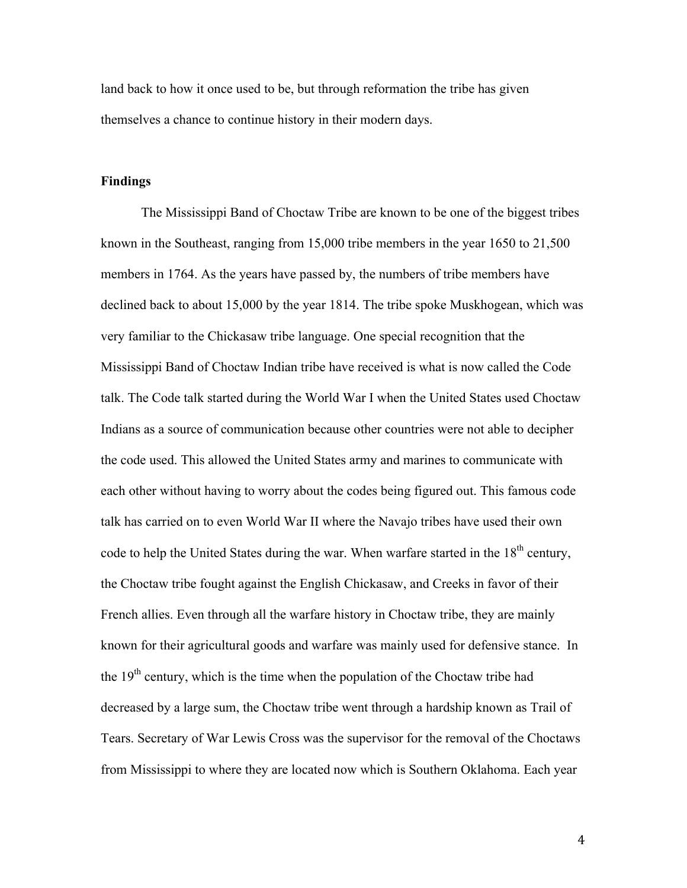land back to how it once used to be, but through reformation the tribe has given themselves a chance to continue history in their modern days.

## **Findings**

The Mississippi Band of Choctaw Tribe are known to be one of the biggest tribes known in the Southeast, ranging from 15,000 tribe members in the year 1650 to 21,500 members in 1764. As the years have passed by, the numbers of tribe members have declined back to about 15,000 by the year 1814. The tribe spoke Muskhogean, which was very familiar to the Chickasaw tribe language. One special recognition that the Mississippi Band of Choctaw Indian tribe have received is what is now called the Code talk. The Code talk started during the World War I when the United States used Choctaw Indians as a source of communication because other countries were not able to decipher the code used. This allowed the United States army and marines to communicate with each other without having to worry about the codes being figured out. This famous code talk has carried on to even World War II where the Navajo tribes have used their own code to help the United States during the war. When warfare started in the  $18<sup>th</sup>$  century, the Choctaw tribe fought against the English Chickasaw, and Creeks in favor of their French allies. Even through all the warfare history in Choctaw tribe, they are mainly known for their agricultural goods and warfare was mainly used for defensive stance. In the  $19<sup>th</sup>$  century, which is the time when the population of the Choctaw tribe had decreased by a large sum, the Choctaw tribe went through a hardship known as Trail of Tears. Secretary of War Lewis Cross was the supervisor for the removal of the Choctaws from Mississippi to where they are located now which is Southern Oklahoma. Each year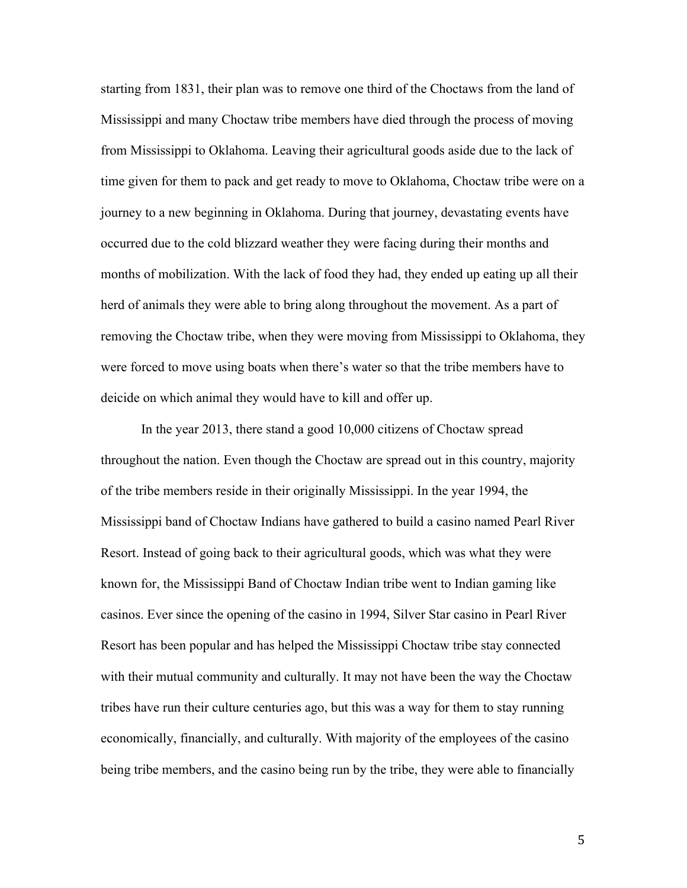starting from 1831, their plan was to remove one third of the Choctaws from the land of Mississippi and many Choctaw tribe members have died through the process of moving from Mississippi to Oklahoma. Leaving their agricultural goods aside due to the lack of time given for them to pack and get ready to move to Oklahoma, Choctaw tribe were on a journey to a new beginning in Oklahoma. During that journey, devastating events have occurred due to the cold blizzard weather they were facing during their months and months of mobilization. With the lack of food they had, they ended up eating up all their herd of animals they were able to bring along throughout the movement. As a part of removing the Choctaw tribe, when they were moving from Mississippi to Oklahoma, they were forced to move using boats when there's water so that the tribe members have to deicide on which animal they would have to kill and offer up.

In the year 2013, there stand a good 10,000 citizens of Choctaw spread throughout the nation. Even though the Choctaw are spread out in this country, majority of the tribe members reside in their originally Mississippi. In the year 1994, the Mississippi band of Choctaw Indians have gathered to build a casino named Pearl River Resort. Instead of going back to their agricultural goods, which was what they were known for, the Mississippi Band of Choctaw Indian tribe went to Indian gaming like casinos. Ever since the opening of the casino in 1994, Silver Star casino in Pearl River Resort has been popular and has helped the Mississippi Choctaw tribe stay connected with their mutual community and culturally. It may not have been the way the Choctaw tribes have run their culture centuries ago, but this was a way for them to stay running economically, financially, and culturally. With majority of the employees of the casino being tribe members, and the casino being run by the tribe, they were able to financially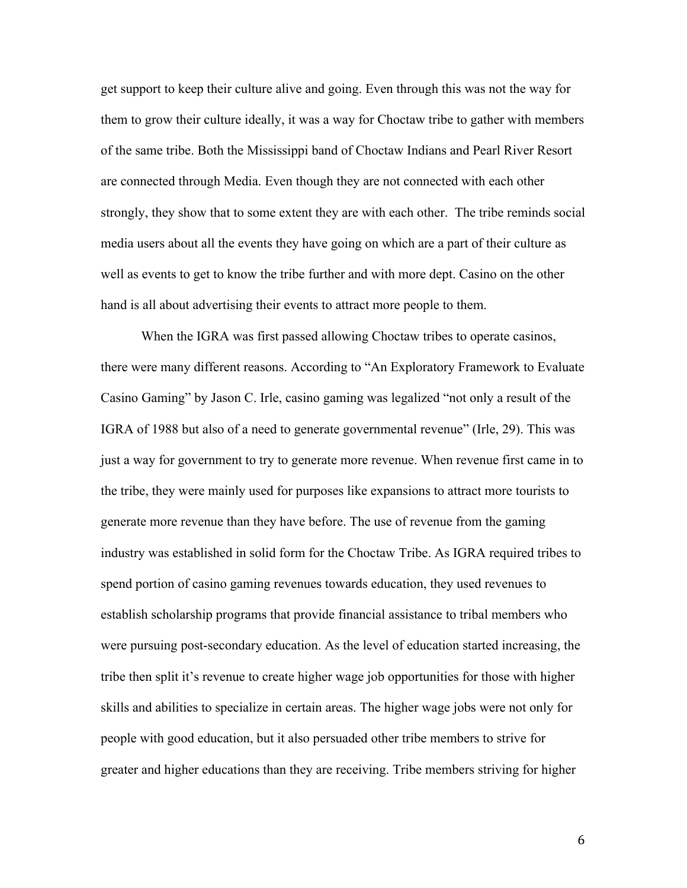get support to keep their culture alive and going. Even through this was not the way for them to grow their culture ideally, it was a way for Choctaw tribe to gather with members of the same tribe. Both the Mississippi band of Choctaw Indians and Pearl River Resort are connected through Media. Even though they are not connected with each other strongly, they show that to some extent they are with each other. The tribe reminds social media users about all the events they have going on which are a part of their culture as well as events to get to know the tribe further and with more dept. Casino on the other hand is all about advertising their events to attract more people to them.

When the IGRA was first passed allowing Choctaw tribes to operate casinos, there were many different reasons. According to "An Exploratory Framework to Evaluate Casino Gaming" by Jason C. Irle, casino gaming was legalized "not only a result of the IGRA of 1988 but also of a need to generate governmental revenue" (Irle, 29). This was just a way for government to try to generate more revenue. When revenue first came in to the tribe, they were mainly used for purposes like expansions to attract more tourists to generate more revenue than they have before. The use of revenue from the gaming industry was established in solid form for the Choctaw Tribe. As IGRA required tribes to spend portion of casino gaming revenues towards education, they used revenues to establish scholarship programs that provide financial assistance to tribal members who were pursuing post-secondary education. As the level of education started increasing, the tribe then split it's revenue to create higher wage job opportunities for those with higher skills and abilities to specialize in certain areas. The higher wage jobs were not only for people with good education, but it also persuaded other tribe members to strive for greater and higher educations than they are receiving. Tribe members striving for higher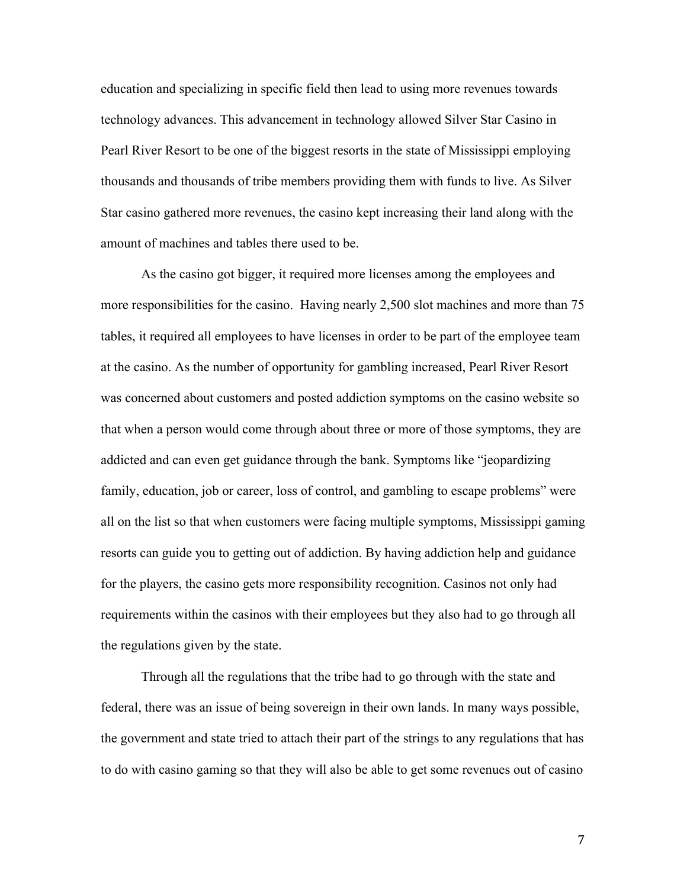education and specializing in specific field then lead to using more revenues towards technology advances. This advancement in technology allowed Silver Star Casino in Pearl River Resort to be one of the biggest resorts in the state of Mississippi employing thousands and thousands of tribe members providing them with funds to live. As Silver Star casino gathered more revenues, the casino kept increasing their land along with the amount of machines and tables there used to be.

As the casino got bigger, it required more licenses among the employees and more responsibilities for the casino. Having nearly 2,500 slot machines and more than 75 tables, it required all employees to have licenses in order to be part of the employee team at the casino. As the number of opportunity for gambling increased, Pearl River Resort was concerned about customers and posted addiction symptoms on the casino website so that when a person would come through about three or more of those symptoms, they are addicted and can even get guidance through the bank. Symptoms like "jeopardizing family, education, job or career, loss of control, and gambling to escape problems" were all on the list so that when customers were facing multiple symptoms, Mississippi gaming resorts can guide you to getting out of addiction. By having addiction help and guidance for the players, the casino gets more responsibility recognition. Casinos not only had requirements within the casinos with their employees but they also had to go through all the regulations given by the state.

Through all the regulations that the tribe had to go through with the state and federal, there was an issue of being sovereign in their own lands. In many ways possible, the government and state tried to attach their part of the strings to any regulations that has to do with casino gaming so that they will also be able to get some revenues out of casino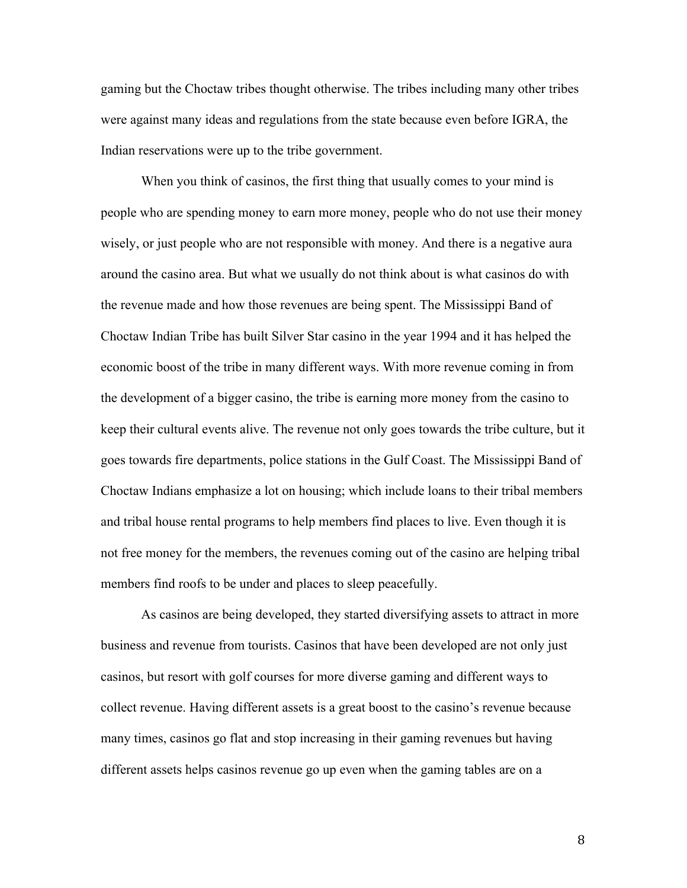gaming but the Choctaw tribes thought otherwise. The tribes including many other tribes were against many ideas and regulations from the state because even before IGRA, the Indian reservations were up to the tribe government.

When you think of casinos, the first thing that usually comes to your mind is people who are spending money to earn more money, people who do not use their money wisely, or just people who are not responsible with money. And there is a negative aura around the casino area. But what we usually do not think about is what casinos do with the revenue made and how those revenues are being spent. The Mississippi Band of Choctaw Indian Tribe has built Silver Star casino in the year 1994 and it has helped the economic boost of the tribe in many different ways. With more revenue coming in from the development of a bigger casino, the tribe is earning more money from the casino to keep their cultural events alive. The revenue not only goes towards the tribe culture, but it goes towards fire departments, police stations in the Gulf Coast. The Mississippi Band of Choctaw Indians emphasize a lot on housing; which include loans to their tribal members and tribal house rental programs to help members find places to live. Even though it is not free money for the members, the revenues coming out of the casino are helping tribal members find roofs to be under and places to sleep peacefully.

As casinos are being developed, they started diversifying assets to attract in more business and revenue from tourists. Casinos that have been developed are not only just casinos, but resort with golf courses for more diverse gaming and different ways to collect revenue. Having different assets is a great boost to the casino's revenue because many times, casinos go flat and stop increasing in their gaming revenues but having different assets helps casinos revenue go up even when the gaming tables are on a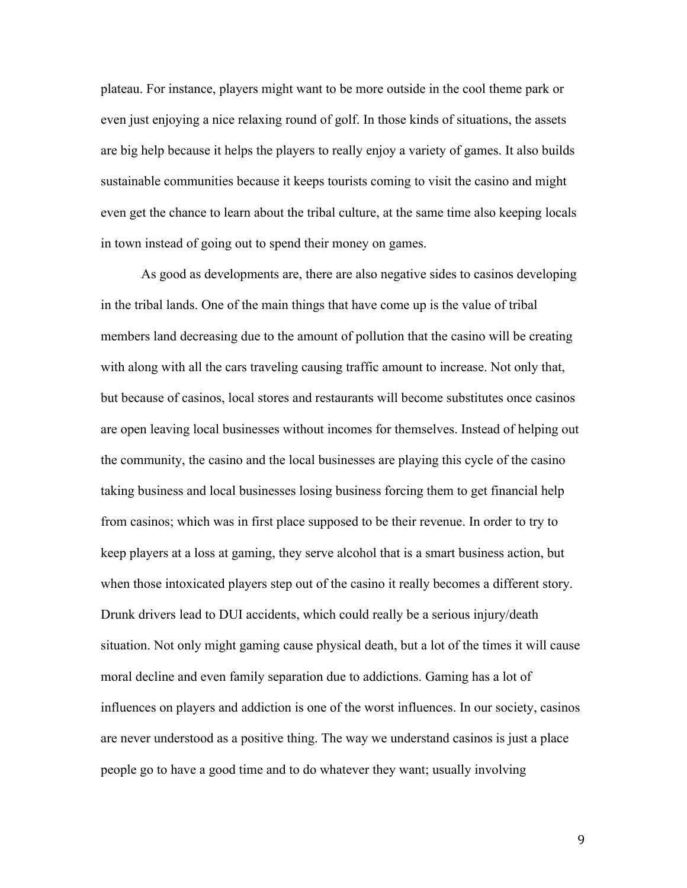plateau. For instance, players might want to be more outside in the cool theme park or even just enjoying a nice relaxing round of golf. In those kinds of situations, the assets are big help because it helps the players to really enjoy a variety of games. It also builds sustainable communities because it keeps tourists coming to visit the casino and might even get the chance to learn about the tribal culture, at the same time also keeping locals in town instead of going out to spend their money on games.

As good as developments are, there are also negative sides to casinos developing in the tribal lands. One of the main things that have come up is the value of tribal members land decreasing due to the amount of pollution that the casino will be creating with along with all the cars traveling causing traffic amount to increase. Not only that, but because of casinos, local stores and restaurants will become substitutes once casinos are open leaving local businesses without incomes for themselves. Instead of helping out the community, the casino and the local businesses are playing this cycle of the casino taking business and local businesses losing business forcing them to get financial help from casinos; which was in first place supposed to be their revenue. In order to try to keep players at a loss at gaming, they serve alcohol that is a smart business action, but when those intoxicated players step out of the casino it really becomes a different story. Drunk drivers lead to DUI accidents, which could really be a serious injury/death situation. Not only might gaming cause physical death, but a lot of the times it will cause moral decline and even family separation due to addictions. Gaming has a lot of influences on players and addiction is one of the worst influences. In our society, casinos are never understood as a positive thing. The way we understand casinos is just a place people go to have a good time and to do whatever they want; usually involving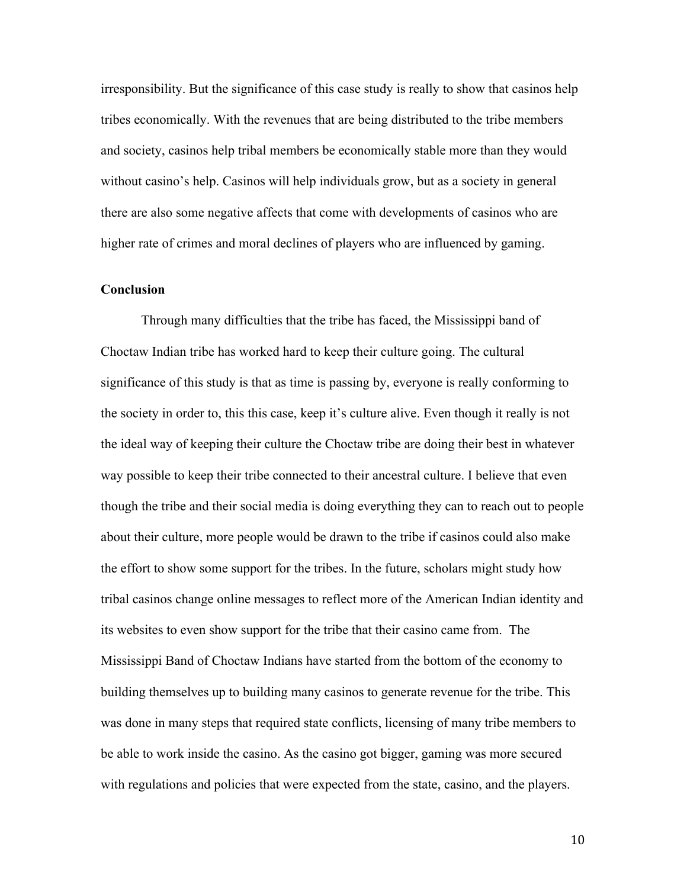irresponsibility. But the significance of this case study is really to show that casinos help tribes economically. With the revenues that are being distributed to the tribe members and society, casinos help tribal members be economically stable more than they would without casino's help. Casinos will help individuals grow, but as a society in general there are also some negative affects that come with developments of casinos who are higher rate of crimes and moral declines of players who are influenced by gaming.

## **Conclusion**

Through many difficulties that the tribe has faced, the Mississippi band of Choctaw Indian tribe has worked hard to keep their culture going. The cultural significance of this study is that as time is passing by, everyone is really conforming to the society in order to, this this case, keep it's culture alive. Even though it really is not the ideal way of keeping their culture the Choctaw tribe are doing their best in whatever way possible to keep their tribe connected to their ancestral culture. I believe that even though the tribe and their social media is doing everything they can to reach out to people about their culture, more people would be drawn to the tribe if casinos could also make the effort to show some support for the tribes. In the future, scholars might study how tribal casinos change online messages to reflect more of the American Indian identity and its websites to even show support for the tribe that their casino came from. The Mississippi Band of Choctaw Indians have started from the bottom of the economy to building themselves up to building many casinos to generate revenue for the tribe. This was done in many steps that required state conflicts, licensing of many tribe members to be able to work inside the casino. As the casino got bigger, gaming was more secured with regulations and policies that were expected from the state, casino, and the players.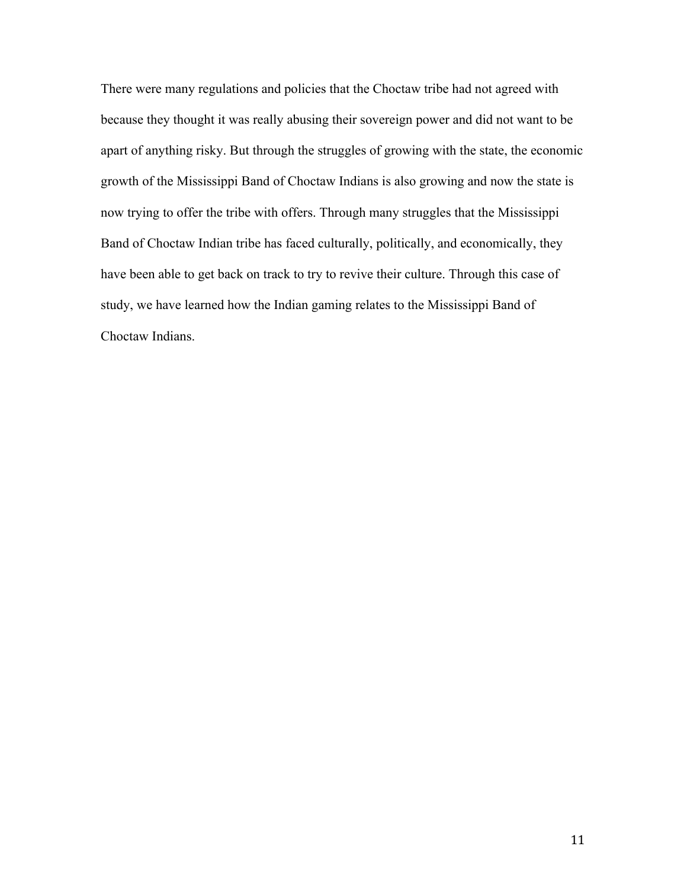There were many regulations and policies that the Choctaw tribe had not agreed with because they thought it was really abusing their sovereign power and did not want to be apart of anything risky. But through the struggles of growing with the state, the economic growth of the Mississippi Band of Choctaw Indians is also growing and now the state is now trying to offer the tribe with offers. Through many struggles that the Mississippi Band of Choctaw Indian tribe has faced culturally, politically, and economically, they have been able to get back on track to try to revive their culture. Through this case of study, we have learned how the Indian gaming relates to the Mississippi Band of Choctaw Indians.